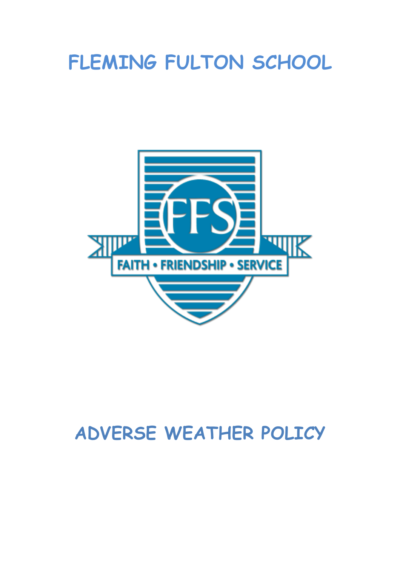# **FLEMING FULTON SCHOOL**



## **ADVERSE WEATHER POLICY**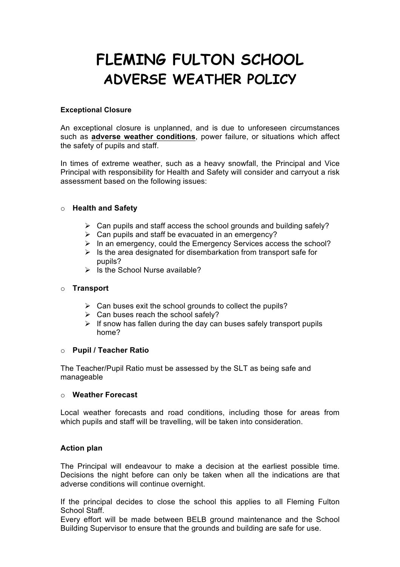### **FLEMING FULTON SCHOOL ADVERSE WEATHER POLICY**

#### **Exceptional Closure**

An exceptional closure is unplanned, and is due to unforeseen circumstances such as **adverse weather conditions**, power failure, or situations which affect the safety of pupils and staff.

In times of extreme weather, such as a heavy snowfall, the Principal and Vice Principal with responsibility for Health and Safety will consider and carryout a risk assessment based on the following issues:

#### o **Health and Safety**

- $\triangleright$  Can pupils and staff access the school grounds and building safely?
- $\triangleright$  Can pupils and staff be evacuated in an emergency?
- $\triangleright$  In an emergency, could the Emergency Services access the school?
- $\triangleright$  Is the area designated for disembarkation from transport safe for pupils?
- $\triangleright$  Is the School Nurse available?

#### o **Transport**

- $\triangleright$  Can buses exit the school grounds to collect the pupils?
- $\triangleright$  Can buses reach the school safely?
- $\triangleright$  If snow has fallen during the day can buses safely transport pupils home?

#### o **Pupil / Teacher Ratio**

The Teacher/Pupil Ratio must be assessed by the SLT as being safe and manageable

#### o **Weather Forecast**

Local weather forecasts and road conditions, including those for areas from which pupils and staff will be travelling, will be taken into consideration.

#### **Action plan**

The Principal will endeavour to make a decision at the earliest possible time. Decisions the night before can only be taken when all the indications are that adverse conditions will continue overnight.

If the principal decides to close the school this applies to all Fleming Fulton School Staff.

Every effort will be made between BELB ground maintenance and the School Building Supervisor to ensure that the grounds and building are safe for use.